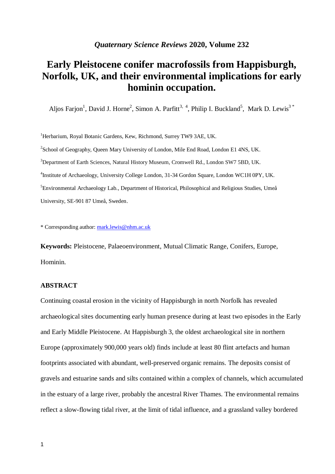# **Early Pleistocene conifer macrofossils from Happisburgh, Norfolk, UK, and their environmental implications for early hominin occupation.**

Aljos Farjon<sup>1</sup>, David J. Horne<sup>2</sup>, Simon A. Parfitt<sup>3, 4</sup>, Philip I. Buckland<sup>5</sup>, Mark D. Lewis<sup>3\*</sup>

<sup>1</sup>Herbarium, Royal Botanic Gardens, Kew, Richmond, Surrey TW9 3AE, UK. <sup>2</sup>School of Geography, Queen Mary University of London, Mile End Road, London E1 4NS, UK. <sup>3</sup>Department of Earth Sciences, Natural History Museum, Cromwell Rd., London SW7 5BD, UK. 4 Institute of Archaeology, University College London, 31-34 Gordon Square, London WC1H 0PY, UK. <sup>5</sup>Environmental Archaeology Lab., Department of Historical, Philosophical and Religious Studies, Umeå University, SE-901 87 Umeå, Sweden.

\* Corresponding author: [mark.lewis@nhm.ac.uk](mailto:mark.lewis@nhm.ac.uk)

**Keywords:** Pleistocene, Palaeoenvironment, Mutual Climatic Range, Conifers, Europe, Hominin.

# **ABSTRACT**

Continuing coastal erosion in the vicinity of Happisburgh in north Norfolk has revealed archaeological sites documenting early human presence during at least two episodes in the Early and Early Middle Pleistocene. At Happisburgh 3, the oldest archaeological site in northern Europe (approximately 900,000 years old) finds include at least 80 flint artefacts and human footprints associated with abundant, well-preserved organic remains. The deposits consist of gravels and estuarine sands and silts contained within a complex of channels, which accumulated in the estuary of a large river, probably the ancestral River Thames. The environmental remains reflect a slow-flowing tidal river, at the limit of tidal influence, and a grassland valley bordered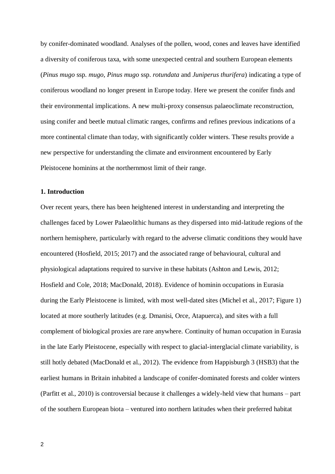by conifer-dominated woodland. Analyses of the pollen, wood, cones and leaves have identified a diversity of coniferous taxa, with some unexpected central and southern European elements (*Pinus mugo* ssp. *mugo*, *Pinus mugo* ssp. *rotundata* and *Juniperus thurifera*) indicating a type of coniferous woodland no longer present in Europe today. Here we present the conifer finds and their environmental implications. A new multi-proxy consensus palaeoclimate reconstruction, using conifer and beetle mutual climatic ranges, confirms and refines previous indications of a more continental climate than today, with significantly colder winters. These results provide a new perspective for understanding the climate and environment encountered by Early Pleistocene hominins at the northernmost limit of their range.

# **1. Introduction**

Over recent years, there has been heightened interest in understanding and interpreting the challenges faced by Lower Palaeolithic humans as they dispersed into mid-latitude regions of the northern hemisphere, particularly with regard to the adverse climatic conditions they would have encountered (Hosfield, 2015; 2017) and the associated range of behavioural, cultural and physiological adaptations required to survive in these habitats (Ashton and Lewis, 2012; Hosfield and Cole, 2018; MacDonald, 2018). Evidence of hominin occupations in Eurasia during the Early Pleistocene is limited, with most well-dated sites (Michel et al., 2017; Figure 1) located at more southerly latitudes (e.g. Dmanisi, Orce, Atapuerca), and sites with a full complement of biological proxies are rare anywhere. Continuity of human occupation in Eurasia in the late Early Pleistocene, especially with respect to glacial-interglacial climate variability, is still hotly debated (MacDonald et al., 2012). The evidence from Happisburgh 3 (HSB3) that the earliest humans in Britain inhabited a landscape of conifer-dominated forests and colder winters (Parfitt et al., 2010) is controversial because it challenges a widely-held view that humans – part of the southern European biota – ventured into northern latitudes when their preferred habitat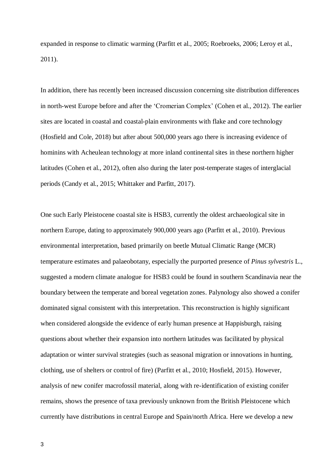expanded in response to climatic warming (Parfitt et al., 2005; Roebroeks, 2006; Leroy et al., 2011).

In addition, there has recently been increased discussion concerning site distribution differences in north-west Europe before and after the 'Cromerian Complex' (Cohen et al., 2012). The earlier sites are located in coastal and coastal-plain environments with flake and core technology (Hosfield and Cole, 2018) but after about 500,000 years ago there is increasing evidence of hominins with Acheulean technology at more inland continental sites in these northern higher latitudes (Cohen et al., 2012), often also during the later post-temperate stages of interglacial periods (Candy et al., 2015; Whittaker and Parfitt, 2017).

One such Early Pleistocene coastal site is HSB3, currently the oldest archaeological site in northern Europe, dating to approximately 900,000 years ago (Parfitt et al., 2010). Previous environmental interpretation, based primarily on beetle Mutual Climatic Range (MCR) temperature estimates and palaeobotany, especially the purported presence of *Pinus sylvestris* L., suggested a modern climate analogue for HSB3 could be found in southern Scandinavia near the boundary between the temperate and boreal vegetation zones. Palynology also showed a conifer dominated signal consistent with this interpretation. This reconstruction is highly significant when considered alongside the evidence of early human presence at Happisburgh, raising questions about whether their expansion into northern latitudes was facilitated by physical adaptation or winter survival strategies (such as seasonal migration or innovations in hunting, clothing, use of shelters or control of fire) (Parfitt et al., 2010; Hosfield, 2015). However, analysis of new conifer macrofossil material, along with re-identification of existing conifer remains, shows the presence of taxa previously unknown from the British Pleistocene which currently have distributions in central Europe and Spain/north Africa. Here we develop a new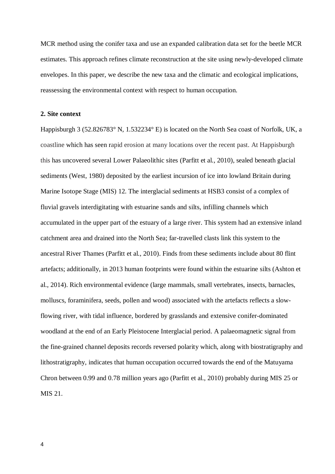MCR method using the conifer taxa and use an expanded calibration data set for the beetle MCR estimates. This approach refines climate reconstruction at the site using newly-developed climate envelopes. In this paper, we describe the new taxa and the climatic and ecological implications, reassessing the environmental context with respect to human occupation.

# **2. Site context**

Happisburgh 3 (52.826783° N, 1.532234° E) is located on the North Sea coast of Norfolk, UK, a coastline which has seen rapid erosion at many locations over the recent past. At Happisburgh this has uncovered several Lower Palaeolithic sites (Parfitt et al., 2010), sealed beneath glacial sediments (West, 1980) deposited by the earliest incursion of ice into lowland Britain during Marine Isotope Stage (MIS) 12. The interglacial sediments at HSB3 consist of a complex of fluvial gravels interdigitating with estuarine sands and silts, infilling channels which accumulated in the upper part of the estuary of a large river. This system had an extensive inland catchment area and drained into the North Sea; far-travelled clasts link this system to the ancestral River Thames (Parfitt et al., 2010). Finds from these sediments include about 80 flint artefacts; additionally, in 2013 human footprints were found within the estuarine silts (Ashton et al., 2014). Rich environmental evidence (large mammals, small vertebrates, insects, barnacles, molluscs, foraminifera, seeds, pollen and wood) associated with the artefacts reflects a slowflowing river, with tidal influence, bordered by grasslands and extensive conifer-dominated woodland at the end of an Early Pleistocene Interglacial period. A palaeomagnetic signal from the fine-grained channel deposits records reversed polarity which, along with biostratigraphy and lithostratigraphy, indicates that human occupation occurred towards the end of the Matuyama Chron between 0.99 and 0.78 million years ago (Parfitt et al., 2010) probably during MIS 25 or MIS 21.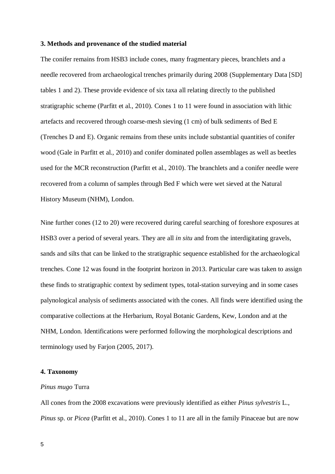### **3. Methods and provenance of the studied material**

The conifer remains from HSB3 include cones, many fragmentary pieces, branchlets and a needle recovered from archaeological trenches primarily during 2008 (Supplementary Data [SD] tables 1 and 2). These provide evidence of six taxa all relating directly to the published stratigraphic scheme (Parfitt et al., 2010). Cones 1 to 11 were found in association with lithic artefacts and recovered through coarse-mesh sieving (1 cm) of bulk sediments of Bed E (Trenches D and E). Organic remains from these units include substantial quantities of conifer wood (Gale in Parfitt et al., 2010) and conifer dominated pollen assemblages as well as beetles used for the MCR reconstruction (Parfitt et al., 2010). The branchlets and a conifer needle were recovered from a column of samples through Bed F which were wet sieved at the Natural History Museum (NHM), London.

Nine further cones (12 to 20) were recovered during careful searching of foreshore exposures at HSB3 over a period of several years. They are all *in situ* and from the interdigitating gravels, sands and silts that can be linked to the stratigraphic sequence established for the archaeological trenches. Cone 12 was found in the footprint horizon in 2013. Particular care was taken to assign these finds to stratigraphic context by sediment types, total-station surveying and in some cases palynological analysis of sediments associated with the cones. All finds were identified using the comparative collections at the Herbarium, Royal Botanic Gardens, Kew, London and at the NHM, London. Identifications were performed following the morphological descriptions and terminology used by Farjon (2005, 2017).

# **4. Taxonomy**

#### *Pinus mugo* Turra

All cones from the 2008 excavations were previously identified as either *Pinus sylvestris* L., *Pinus* sp. or *Picea* (Parfitt et al., 2010). Cones 1 to 11 are all in the family Pinaceae but are now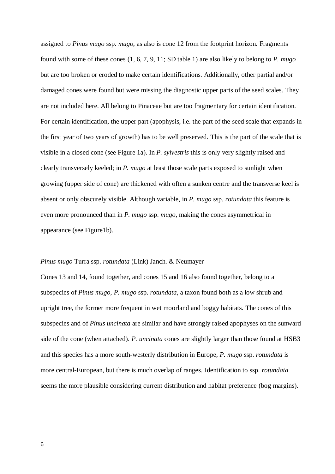assigned to *Pinus mugo* ssp. *mugo*, as also is cone 12 from the footprint horizon. Fragments found with some of these cones (1, 6, 7, 9, 11; SD table 1) are also likely to belong to *P. mugo* but are too broken or eroded to make certain identifications. Additionally, other partial and/or damaged cones were found but were missing the diagnostic upper parts of the seed scales. They are not included here. All belong to Pinaceae but are too fragmentary for certain identification. For certain identification, the upper part (apophysis, i.e. the part of the seed scale that expands in the first year of two years of growth) has to be well preserved. This is the part of the scale that is visible in a closed cone (see Figure 1a). In *P. sylvestris* this is only very slightly raised and clearly transversely keeled; in *P. mugo* at least those scale parts exposed to sunlight when growing (upper side of cone) are thickened with often a sunken centre and the transverse keel is absent or only obscurely visible. Although variable, in *P. mugo* ssp. *rotundata* this feature is even more pronounced than in *P. mugo* ssp. *mugo*, making the cones asymmetrical in appearance (see Figure1b).

# *Pinus mugo* Turra ssp. *rotundata* (Link) Janch. & Neumayer

Cones 13 and 14, found together, and cones 15 and 16 also found together, belong to a subspecies of *Pinus mugo*, *P. mugo* ssp. *rotundata*, a taxon found both as a low shrub and upright tree, the former more frequent in wet moorland and boggy habitats. The cones of this subspecies and of *Pinus uncinata* are similar and have strongly raised apophyses on the sunward side of the cone (when attached). *P. uncinata* cones are slightly larger than those found at HSB3 and this species has a more south-westerly distribution in Europe, *P. mugo* ssp. *rotundata* is more central-European, but there is much overlap of ranges. Identification to ssp. *rotundata* seems the more plausible considering current distribution and habitat preference (bog margins).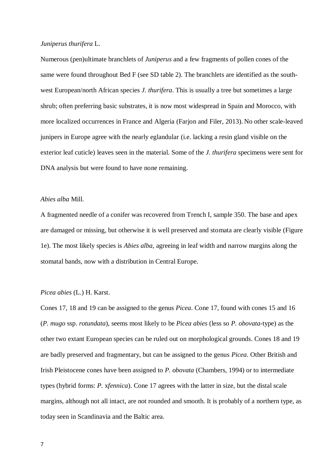#### *Juniperus thurifera* L.

Numerous (pen)ultimate branchlets of *Juniperus* and a few fragments of pollen cones of the same were found throughout Bed F (see SD table 2). The branchlets are identified as the southwest European/north African species *J. thurifera*. This is usually a tree but sometimes a large shrub; often preferring basic substrates, it is now most widespread in Spain and Morocco, with more localized occurrences in France and Algeria (Farjon and Filer, 2013). No other scale-leaved junipers in Europe agree with the nearly eglandular (i.e. lacking a resin gland visible on the exterior leaf cuticle) leaves seen in the material. Some of the *J. thurifera* specimens were sent for DNA analysis but were found to have none remaining.

# *Abies alba* Mill.

A fragmented needle of a conifer was recovered from Trench I, sample 350. The base and apex are damaged or missing, but otherwise it is well preserved and stomata are clearly visible (Figure 1e). The most likely species is *Abies alba*, agreeing in leaf width and narrow margins along the stomatal bands, now with a distribution in Central Europe.

# *Picea abies* (L.) H. Karst.

Cones 17, 18 and 19 can be assigned to the genus *Picea*. Cone 17, found with cones 15 and 16 (*P. mugo* ssp. *rotundata*), seems most likely to be *Picea abies* (less so *P. obovata*-type) as the other two extant European species can be ruled out on morphological grounds. Cones 18 and 19 are badly preserved and fragmentary, but can be assigned to the genus *Picea*. Other British and Irish Pleistocene cones have been assigned to *P. obovata* (Chambers, 1994) or to intermediate types (hybrid forms: *P.* x*fennica*). Cone 17 agrees with the latter in size, but the distal scale margins, although not all intact, are not rounded and smooth. It is probably of a northern type, as today seen in Scandinavia and the Baltic area.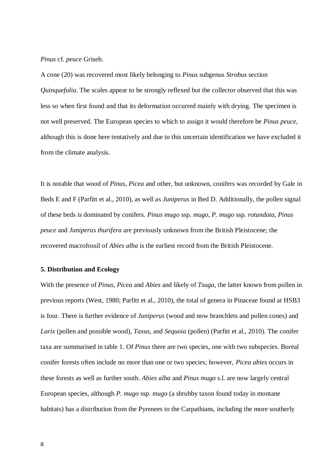*Pinus* cf. *peuce* Griseb.

A cone (20) was recovered most likely belonging to *Pinus* subgenus *Strobus* section *Quinquefolia*. The scales appear to be strongly reflexed but the collector observed that this was less so when first found and that its deformation occurred mainly with drying. The specimen is not well preserved. The European species to which to assign it would therefore be *Pinus peuce*, although this is done here tentatively and due to this uncertain identification we have excluded it from the climate analysis.

It is notable that wood of *Pinus*, *Picea* and other, but unknown, conifers was recorded by Gale in Beds E and F (Parfitt et al., 2010), as well as *Juniperus* in Bed D. Additionally, the pollen signal of these beds is dominated by conifers. *Pinus mugo* ssp. *mugo*, *P. mugo* ssp. *rotundata*, *Pinus peuce* and *Juniperus thurifera* are previously unknown from the British Pleistocene; the recovered macrofossil of *Abies alba* is the earliest record from the British Pleistocene.

# **5. Distribution and Ecology**

With the presence of *Pinus*, *Picea* and *Abies* and likely of *Tsuga*, the latter known from pollen in previous reports (West, 1980; Parfitt et al., 2010), the total of genera in Pinaceae found at HSB3 is four. There is further evidence of *Juniperus* (wood and now branchlets and pollen cones) and *Larix* (pollen and possible wood), *Taxus*, and *Sequoia* (pollen) (Parfitt et al., 2010). The conifer taxa are summarised in table 1. Of *Pinus* there are two species, one with two subspecies. Boreal conifer forests often include no more than one or two species; however, *Picea abies* occurs in these forests as well as further south. *Abies alba* and *Pinus mugo* s.l. are now largely central European species, although *P. mugo* ssp. *mugo* (a shrubby taxon found today in montane habitats) has a distribution from the Pyrenees to the Carpathians, including the more southerly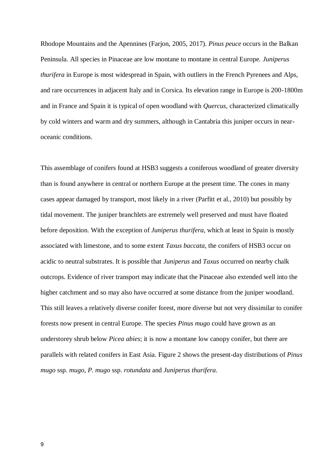Rhodope Mountains and the Apennines (Farjon, 2005, 2017). *Pinus peuce* occurs in the Balkan Peninsula. All species in Pinaceae are low montane to montane in central Europe. *Juniperus thurifera* in Europe is most widespread in Spain, with outliers in the French Pyrenees and Alps, and rare occurrences in adjacent Italy and in Corsica. Its elevation range in Europe is 200-1800m and in France and Spain it is typical of open woodland with *Quercus,* characterized climatically by cold winters and warm and dry summers, although in Cantabria this juniper occurs in nearoceanic conditions.

This assemblage of conifers found at HSB3 suggests a coniferous woodland of greater diversity than is found anywhere in central or northern Europe at the present time. The cones in many cases appear damaged by transport, most likely in a river (Parfitt et al., 2010) but possibly by tidal movement. The juniper branchlets are extremely well preserved and must have floated before deposition. With the exception of *Juniperus thurifera*, which at least in Spain is mostly associated with limestone, and to some extent *Taxus baccata*, the conifers of HSB3 occur on acidic to neutral substrates. It is possible that *Juniperus* and *Taxus* occurred on nearby chalk outcrops. Evidence of river transport may indicate that the Pinaceae also extended well into the higher catchment and so may also have occurred at some distance from the juniper woodland. This still leaves a relatively diverse conifer forest, more diverse but not very dissimilar to conifer forests now present in central Europe. The species *Pinus mugo* could have grown as an understorey shrub below *Picea abies*; it is now a montane low canopy conifer, but there are parallels with related conifers in East Asia. Figure 2 shows the present-day distributions of *Pinus mugo* ssp. *mugo*, *P. mugo* ssp. *rotundata* and *Juniperus thurifera*.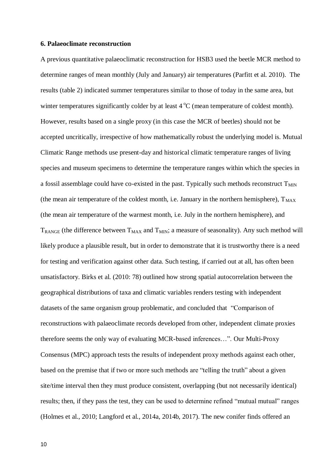#### **6. Palaeoclimate reconstruction**

A previous quantitative palaeoclimatic reconstruction for HSB3 used the beetle MCR method to determine ranges of mean monthly (July and January) air temperatures (Parfitt et al. 2010). The results (table 2) indicated summer temperatures similar to those of today in the same area, but winter temperatures significantly colder by at least  $4^{\circ}C$  (mean temperature of coldest month). However, results based on a single proxy (in this case the MCR of beetles) should not be accepted uncritically, irrespective of how mathematically robust the underlying model is. Mutual Climatic Range methods use present-day and historical climatic temperature ranges of living species and museum specimens to determine the temperature ranges within which the species in a fossil assemblage could have co-existed in the past. Typically such methods reconstruct  $T_{MIN}$ (the mean air temperature of the coldest month, i.e. January in the northern hemisphere),  $T_{MAX}$ (the mean air temperature of the warmest month, i.e. July in the northern hemisphere), and  $T_{RANGE}$  (the difference between  $T_{MAX}$  and  $T_{MIN}$ ; a measure of seasonality). Any such method will likely produce a plausible result, but in order to demonstrate that it is trustworthy there is a need for testing and verification against other data. Such testing, if carried out at all, has often been unsatisfactory. Birks et al. (2010: 78) outlined how strong spatial autocorrelation between the geographical distributions of taxa and climatic variables renders testing with independent datasets of the same organism group problematic, and concluded that "Comparison of reconstructions with palaeoclimate records developed from other, independent climate proxies therefore seems the only way of evaluating MCR-based inferences…". Our Multi-Proxy Consensus (MPC) approach tests the results of independent proxy methods against each other, based on the premise that if two or more such methods are "telling the truth" about a given site/time interval then they must produce consistent, overlapping (but not necessarily identical) results; then, if they pass the test, they can be used to determine refined "mutual mutual" ranges (Holmes et al., 2010; Langford et al., 2014a, 2014b, 2017). The new conifer finds offered an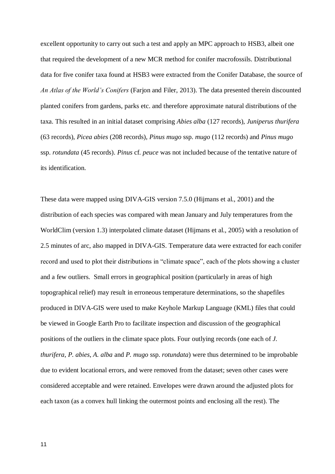excellent opportunity to carry out such a test and apply an MPC approach to HSB3, albeit one that required the development of a new MCR method for conifer macrofossils. Distributional data for five conifer taxa found at HSB3 were extracted from the Conifer Database, the source of *An Atlas of the World's Conifers* (Farjon and Filer, 2013). The data presented therein discounted planted conifers from gardens, parks etc. and therefore approximate natural distributions of the taxa. This resulted in an initial dataset comprising *Abies alba* (127 records), *Juniperus thurifera* (63 records), *Picea abies* (208 records), *Pinus mugo* ssp. *mugo* (112 records) and *Pinus mugo*  ssp. *rotundata* (45 records). *Pinus* cf. *peuce* was not included because of the tentative nature of its identification.

These data were mapped using DIVA-GIS version 7.5.0 (Hijmans et al., 2001) and the distribution of each species was compared with mean January and July temperatures from the WorldClim (version 1.3) interpolated climate dataset (Hijmans et al., 2005) with a resolution of 2.5 minutes of arc, also mapped in DIVA-GIS. Temperature data were extracted for each conifer record and used to plot their distributions in "climate space", each of the plots showing a cluster and a few outliers. Small errors in geographical position (particularly in areas of high topographical relief) may result in erroneous temperature determinations, so the shapefiles produced in DIVA-GIS were used to make Keyhole Markup Language (KML) files that could be viewed in Google Earth Pro to facilitate inspection and discussion of the geographical positions of the outliers in the climate space plots. Four outlying records (one each of *J. thurifera*, *P. abies*, *A. alba* and *P. mugo* ssp. *rotundata*) were thus determined to be improbable due to evident locational errors, and were removed from the dataset; seven other cases were considered acceptable and were retained. Envelopes were drawn around the adjusted plots for each taxon (as a convex hull linking the outermost points and enclosing all the rest). The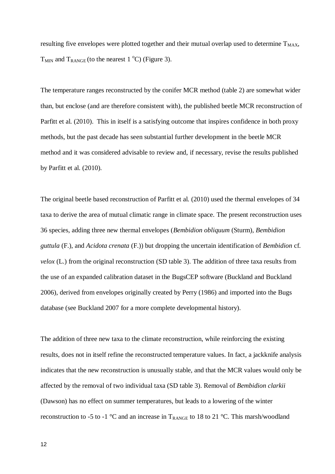resulting five envelopes were plotted together and their mutual overlap used to determine  $T_{MAX}$ ,  $T_{MIN}$  and  $T_{RANGE}$  (to the nearest 1 °C) (Figure 3).

The temperature ranges reconstructed by the conifer MCR method (table 2) are somewhat wider than, but enclose (and are therefore consistent with), the published beetle MCR reconstruction of Parfitt et al. (2010). This in itself is a satisfying outcome that inspires confidence in both proxy methods, but the past decade has seen substantial further development in the beetle MCR method and it was considered advisable to review and, if necessary, revise the results published by Parfitt et al. (2010).

The original beetle based reconstruction of Parfitt et al. (2010) used the thermal envelopes of 34 taxa to derive the area of mutual climatic range in climate space. The present reconstruction uses 36 species, adding three new thermal envelopes (*Bembidion obliquum* (Sturm), *Bembidion guttula* (F.), and *Acidota crenata* (F.)) but dropping the uncertain identification of *Bembidion* cf. *velox* (L.) from the original reconstruction (SD table 3). The addition of three taxa results from the use of an expanded calibration dataset in the BugsCEP software (Buckland and Buckland 2006), derived from envelopes originally created by Perry (1986) and imported into the Bugs database (see Buckland 2007 for a more complete developmental history).

The addition of three new taxa to the climate reconstruction, while reinforcing the existing results, does not in itself refine the reconstructed temperature values. In fact, a jackknife analysis indicates that the new reconstruction is unusually stable, and that the MCR values would only be affected by the removal of two individual taxa (SD table 3). Removal of *Bembidion clarkii* (Dawson) has no effect on summer temperatures, but leads to a lowering of the winter reconstruction to -5 to -1  $\degree$ C and an increase in T<sub>RANGE</sub> to 18 to 21  $\degree$ C. This marsh/woodland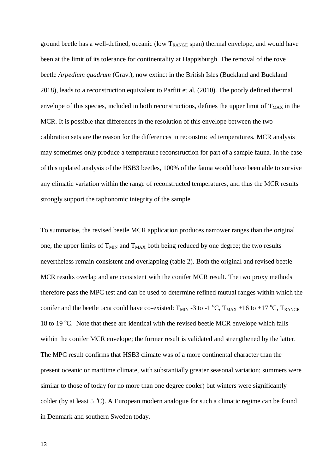ground beetle has a well-defined, oceanic (low  $T_{RANGE}$  span) thermal envelope, and would have been at the limit of its tolerance for continentality at Happisburgh. The removal of the rove beetle *Arpedium quadrum* (Grav.), now extinct in the British Isles (Buckland and Buckland 2018), leads to a reconstruction equivalent to Parfitt et al. (2010). The poorly defined thermal envelope of this species, included in both reconstructions, defines the upper limit of  $T<sub>MAX</sub>$  in the MCR. It is possible that differences in the resolution of this envelope between the two calibration sets are the reason for the differences in reconstructed temperatures. MCR analysis may sometimes only produce a temperature reconstruction for part of a sample fauna. In the case of this updated analysis of the HSB3 beetles, 100% of the fauna would have been able to survive any climatic variation within the range of reconstructed temperatures, and thus the MCR results strongly support the taphonomic integrity of the sample.

To summarise, the revised beetle MCR application produces narrower ranges than the original one, the upper limits of  $T<sub>MIN</sub>$  and  $T<sub>MAX</sub>$  both being reduced by one degree; the two results nevertheless remain consistent and overlapping (table 2). Both the original and revised beetle MCR results overlap and are consistent with the conifer MCR result. The two proxy methods therefore pass the MPC test and can be used to determine refined mutual ranges within which the conifer and the beetle taxa could have co-existed:  $T_{\text{MIN}}$  -3 to -1 °C,  $T_{\text{MAX}}$  +16 to +17 °C,  $T_{\text{RANGE}}$ 18 to 19  $^{\circ}$ C. Note that these are identical with the revised beetle MCR envelope which falls within the conifer MCR envelope; the former result is validated and strengthened by the latter. The MPC result confirms that HSB3 climate was of a more continental character than the present oceanic or maritime climate, with substantially greater seasonal variation; summers were similar to those of today (or no more than one degree cooler) but winters were significantly colder (by at least  $5^{\circ}$ C). A European modern analogue for such a climatic regime can be found in Denmark and southern Sweden today.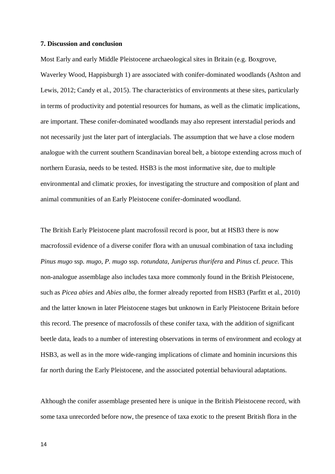#### **7. Discussion and conclusion**

Most Early and early Middle Pleistocene archaeological sites in Britain (e.g. Boxgrove, Waverley Wood, Happisburgh 1) are associated with conifer-dominated woodlands (Ashton and Lewis, 2012; Candy et al., 2015). The characteristics of environments at these sites, particularly in terms of productivity and potential resources for humans, as well as the climatic implications, are important. These conifer-dominated woodlands may also represent interstadial periods and not necessarily just the later part of interglacials. The assumption that we have a close modern analogue with the current southern Scandinavian boreal belt, a biotope extending across much of northern Eurasia, needs to be tested. HSB3 is the most informative site, due to multiple environmental and climatic proxies, for investigating the structure and composition of plant and animal communities of an Early Pleistocene conifer-dominated woodland.

The British Early Pleistocene plant macrofossil record is poor, but at HSB3 there is now macrofossil evidence of a diverse conifer flora with an unusual combination of taxa including *Pinus mugo* ssp. *mugo*, *P. mugo* ssp. *rotundata*, *Juniperus thurifera* and *Pinus* cf. *peuce*. This non-analogue assemblage also includes taxa more commonly found in the British Pleistocene, such as *Picea abies* and *Abies alba,* the former already reported from HSB3 (Parfitt et al., 2010) and the latter known in later Pleistocene stages but unknown in Early Pleistocene Britain before this record. The presence of macrofossils of these conifer taxa, with the addition of significant beetle data, leads to a number of interesting observations in terms of environment and ecology at HSB3, as well as in the more wide-ranging implications of climate and hominin incursions this far north during the Early Pleistocene, and the associated potential behavioural adaptations.

Although the conifer assemblage presented here is unique in the British Pleistocene record, with some taxa unrecorded before now, the presence of taxa exotic to the present British flora in the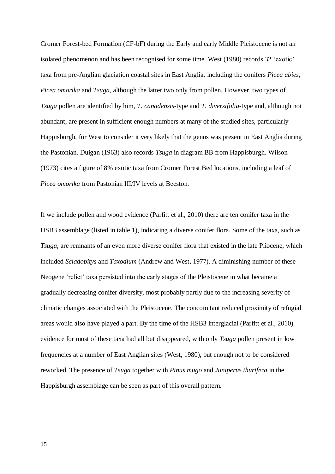Cromer Forest-bed Formation (CF-bF) during the Early and early Middle Pleistocene is not an isolated phenomenon and has been recognised for some time. West (1980) records 32 'exotic' taxa from pre-Anglian glaciation coastal sites in East Anglia, including the conifers *Picea abies*, *Picea omorika* and *Tsuga*, although the latter two only from pollen. However, two types of *Tsuga* pollen are identified by him, *T. canadensis*-type and *T. diversifolia*-type and, although not abundant, are present in sufficient enough numbers at many of the studied sites, particularly Happisburgh, for West to consider it very likely that the genus was present in East Anglia during the Pastonian. Duigan (1963) also records *Tsuga* in diagram BB from Happisburgh. Wilson (1973) cites a figure of 8% exotic taxa from Cromer Forest Bed locations, including a leaf of *Picea omorika* from Pastonian III/IV levels at Beeston.

If we include pollen and wood evidence (Parfitt et al., 2010) there are ten conifer taxa in the HSB3 assemblage (listed in table 1), indicating a diverse conifer flora. Some of the taxa, such as *Tsuga*, are remnants of an even more diverse conifer flora that existed in the late Pliocene, which included *Sciadopitys* and *Taxodium* (Andrew and West, 1977). A diminishing number of these Neogene 'relict' taxa persisted into the early stages of the Pleistocene in what became a gradually decreasing conifer diversity, most probably partly due to the increasing severity of climatic changes associated with the Pleistocene. The concomitant reduced proximity of refugial areas would also have played a part. By the time of the HSB3 interglacial (Parfitt et al., 2010) evidence for most of these taxa had all but disappeared, with only *Tsuga* pollen present in low frequencies at a number of East Anglian sites (West, 1980), but enough not to be considered reworked. The presence of *Tsuga* together with *Pinus mugo* and *Juniperus thurifera* in the Happisburgh assemblage can be seen as part of this overall pattern.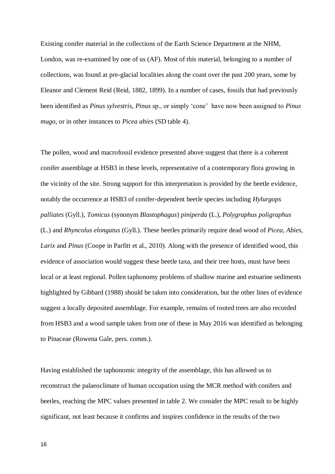Existing conifer material in the collections of the Earth Science Department at the NHM, London, was re-examined by one of us (AF). Most of this material, belonging to a number of collections, was found at pre-glacial localities along the coast over the past 200 years, some by Eleanor and Clement Reid (Reid, 1882, 1899). In a number of cases, fossils that had previously been identified as *Pinus sylvestris*, *Pinus* sp., or simply 'cone' have now been assigned to *Pinus mugo*, or in other instances to *Picea abies* (SD table 4).

The pollen, wood and macrofossil evidence presented above suggest that there is a coherent conifer assemblage at HSB3 in these levels, representative of a contemporary flora growing in the vicinity of the site. Strong support for this interpretation is provided by the beetle evidence, notably the occurrence at HSB3 of conifer-dependent beetle species including *Hylurgops palliates* (Gyll.), *Tomicus* (synonym *Blastophagus*) *piniperda* (L.), *Polygraphus poligraphus* (L.) and *Rhyncolus elongatus* (Gyll.). These beetles primarily require dead wood of *Picea, Abies*, *Larix* and *Pinus* (Coope in Parfitt et al., 2010). Along with the presence of identified wood, this evidence of association would suggest these beetle taxa, and their tree hosts, must have been local or at least regional. Pollen taphonomy problems of shallow marine and estuarine sediments highlighted by Gibbard (1988) should be taken into consideration, but the other lines of evidence suggest a locally deposited assemblage. For example, remains of rooted trees are also recorded from HSB3 and a wood sample taken from one of these in May 2016 was identified as belonging to Pinaceae (Rowena Gale, pers. comm.).

Having established the taphonomic integrity of the assemblage, this has allowed us to reconstruct the palaeoclimate of human occupation using the MCR method with conifers and beetles, reaching the MPC values presented in table 2. We consider the MPC result to be highly significant, not least because it confirms and inspires confidence in the results of the two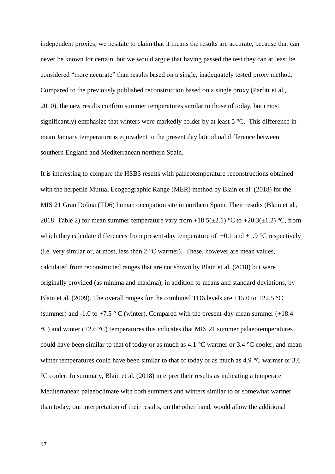independent proxies; we hesitate to claim that it means the results are accurate, because that can never be known for certain, but we would argue that having passed the test they can at least be considered "more accurate" than results based on a single, inadequately tested proxy method. Compared to the previously published reconstruction based on a single proxy (Parfitt et al., 2010), the new results confirm summer temperatures similar to those of today, but (most significantly) emphasize that winters were markedly colder by at least 5 °C. This difference in mean January temperature is equivalent to the present day latitudinal difference between southern England and Mediterranean northern Spain.

It is interesting to compare the HSB3 results with palaeotemperature reconstructions obtained with the herpetile Mutual Ecogeographic Range (MER) method by Blain et al. (2018) for the MIS 21 Gran Dolina (TD6) human occupation site in northern Spain. Their results (Blain et al., 2018: Table 2) for mean summer temperature vary from  $+18.5(\pm 2.1)$  °C to  $+20.3(\pm 1.2)$  °C, from which they calculate differences from present-day temperature of  $+0.1$  and  $+1.9$  °C respectively (i.e. very similar or, at most, less than 2 °C warmer). These, however are mean values, calculated from reconstructed ranges that are not shown by Blain et al. (2018) but were originally provided (as minima and maxima), in addition to means and standard deviations, by Blain et al. (2009). The overall ranges for the combined TD6 levels are +15.0 to +22.5  $^{\circ}$ C (summer) and -1.0 to +7.5  $\degree$  C (winter). Compared with the present-day mean summer (+18.4)  $^{\circ}$ C) and winter (+2.6  $^{\circ}$ C) temperatures this indicates that MIS 21 summer palaeotemperatures could have been similar to that of today or as much as 4.1 °C warmer or 3.4 °C cooler, and mean winter temperatures could have been similar to that of today or as much as 4.9 °C warmer or 3.6 °C cooler. In summary, Blain et al. (2018) interpret their results as indicating a temperate Mediterranean palaeoclimate with both summers and winters similar to or somewhat warmer than today; our interpretation of their results, on the other hand, would allow the additional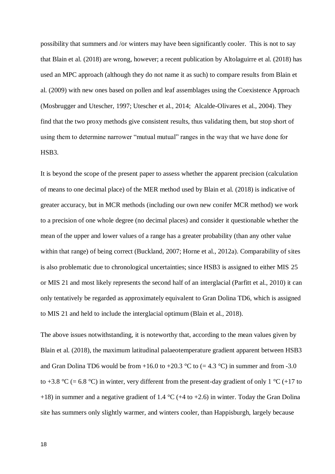possibility that summers and /or winters may have been significantly cooler. This is not to say that Blain et al. (2018) are wrong, however; a recent publication by Altolaguirre et al. (2018) has used an MPC approach (although they do not name it as such) to compare results from Blain et al. (2009) with new ones based on pollen and leaf assemblages using the Coexistence Approach (Mosbrugger and Utescher, 1997; Utescher et al., 2014; Alcalde-Olivares et al., 2004). They find that the two proxy methods give consistent results, thus validating them, but stop short of using them to determine narrower "mutual mutual" ranges in the way that we have done for HSB3.

It is beyond the scope of the present paper to assess whether the apparent precision (calculation of means to one decimal place) of the MER method used by Blain et al. (2018) is indicative of greater accuracy, but in MCR methods (including our own new conifer MCR method) we work to a precision of one whole degree (no decimal places) and consider it questionable whether the mean of the upper and lower values of a range has a greater probability (than any other value within that range) of being correct (Buckland, 2007; Horne et al., 2012a). Comparability of sites is also problematic due to chronological uncertainties; since HSB3 is assigned to either MIS 25 or MIS 21 and most likely represents the second half of an interglacial (Parfitt et al., 2010) it can only tentatively be regarded as approximately equivalent to Gran Dolina TD6, which is assigned to MIS 21 and held to include the interglacial optimum (Blain et al., 2018).

The above issues notwithstanding, it is noteworthy that, according to the mean values given by Blain et al. (2018), the maximum latitudinal palaeotemperature gradient apparent between HSB3 and Gran Dolina TD6 would be from +16.0 to +20.3 °C to (= 4.3 °C) in summer and from -3.0 to +3.8 °C (= 6.8 °C) in winter, very different from the present-day gradient of only 1 °C (+17 to +18) in summer and a negative gradient of 1.4  $\degree$ C (+4 to +2.6) in winter. Today the Gran Dolina site has summers only slightly warmer, and winters cooler, than Happisburgh, largely because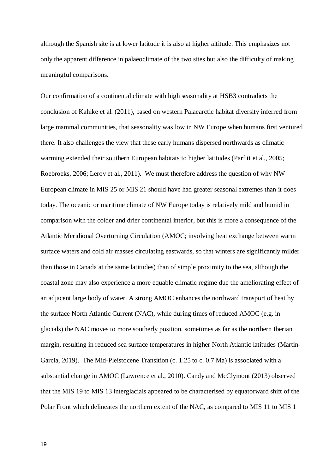although the Spanish site is at lower latitude it is also at higher altitude. This emphasizes not only the apparent difference in palaeoclimate of the two sites but also the difficulty of making meaningful comparisons.

Our confirmation of a continental climate with high seasonality at HSB3 contradicts the conclusion of Kahlke et al. (2011), based on western Palaearctic habitat diversity inferred from large mammal communities, that seasonality was low in NW Europe when humans first ventured there. It also challenges the view that these early humans dispersed northwards as climatic warming extended their southern European habitats to higher latitudes (Parfitt et al., 2005; Roebroeks, 2006; Leroy et al., 2011). We must therefore address the question of why NW European climate in MIS 25 or MIS 21 should have had greater seasonal extremes than it does today. The oceanic or maritime climate of NW Europe today is relatively mild and humid in comparison with the colder and drier continental interior, but this is more a consequence of the Atlantic Meridional Overturning Circulation (AMOC; involving heat exchange between warm surface waters and cold air masses circulating eastwards, so that winters are significantly milder than those in Canada at the same latitudes) than of simple proximity to the sea, although the coastal zone may also experience a more equable climatic regime due the ameliorating effect of an adjacent large body of water. A strong AMOC enhances the northward transport of heat by the surface North Atlantic Current (NAC), while during times of reduced AMOC (e.g. in glacials) the NAC moves to more southerly position, sometimes as far as the northern Iberian margin, resulting in reduced sea surface temperatures in higher North Atlantic latitudes (Martin-Garcia, 2019). The Mid-Pleistocene Transition (c. 1.25 to c. 0.7 Ma) is associated with a substantial change in AMOC (Lawrence et al., 2010). Candy and McClymont (2013) observed that the MIS 19 to MIS 13 interglacials appeared to be characterised by equatorward shift of the Polar Front which delineates the northern extent of the NAC, as compared to MIS 11 to MIS 1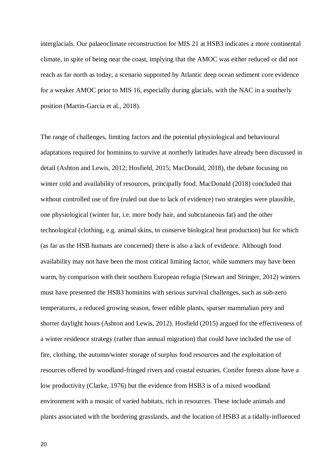interglacials. Our palaeoclimate reconstruction for MIS 21 at HSB3 indicates a more continental climate, in spite of being near the coast, implying that the AMOC was either reduced or did not reach as far north as today, a scenario supported by Atlantic deep ocean sediment core evidence for a weaker AMOC prior to MIS 16, especially during glacials, with the NAC in a southerly position (Martin-Garcia et al., 2018).

The range of challenges, limiting factors and the potential physiological and behavioural adaptations required for hominins to survive at northerly latitudes have already been discussed in detail (Ashton and Lewis, 2012; Hosfield, 2015; MacDonald, 2018), the debate focusing on winter cold and availability of resources, principally food. MacDonald (2018) concluded that without controlled use of fire (ruled out due to lack of evidence) two strategies were plausible, one physiological (winter fur, i.e. more body hair, and subcutaneous fat) and the other technological (clothing, e.g. animal skins, to conserve biological heat production) but for which (as far as the HSB humans are concerned) there is also a lack of evidence. Although food availability may not have been the most critical limiting factor, while summers may have been warm, by comparison with their southern European refugia (Stewart and Stringer, 2012) winters must have presented the HSB3 hominins with serious survival challenges, such as sub-zero temperatures, a reduced growing season, fewer edible plants, sparser mammalian prey and shorter daylight hours (Ashton and Lewis, 2012). Hosfield (2015) argued for the effectiveness of a winter residence strategy (rather than annual migration) that could have included the use of fire, clothing, the autumn/winter storage of surplus food resources and the exploitation of resources offered by woodland-fringed rivers and coastal estuaries. Conifer forests alone have a low productivity (Clarke, 1976) but the evidence from HSB3 is of a mixed woodland environment with a mosaic of varied habitats, rich in resources. These include animals and plants associated with the bordering grasslands, and the location of HSB3 at a tidally-influenced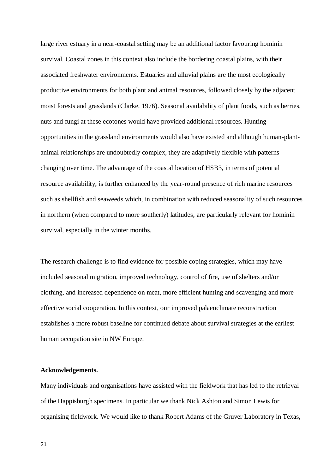large river estuary in a near-coastal setting may be an additional factor favouring hominin survival. Coastal zones in this context also include the bordering coastal plains, with their associated freshwater environments. Estuaries and alluvial plains are the most ecologically productive environments for both plant and animal resources, followed closely by the adjacent moist forests and grasslands (Clarke, 1976). Seasonal availability of plant foods, such as berries, nuts and fungi at these ecotones would have provided additional resources. Hunting opportunities in the grassland environments would also have existed and although human-plantanimal relationships are undoubtedly complex, they are adaptively flexible with patterns changing over time. The advantage of the coastal location of HSB3, in terms of potential resource availability, is further enhanced by the year-round presence of rich marine resources such as shellfish and seaweeds which, in combination with reduced seasonality of such resources in northern (when compared to more southerly) latitudes, are particularly relevant for hominin survival, especially in the winter months.

The research challenge is to find evidence for possible coping strategies, which may have included seasonal migration, improved technology, control of fire, use of shelters and/or clothing, and increased dependence on meat, more efficient hunting and scavenging and more effective social cooperation. In this context, our improved palaeoclimate reconstruction establishes a more robust baseline for continued debate about survival strategies at the earliest human occupation site in NW Europe.

# **Acknowledgements.**

Many individuals and organisations have assisted with the fieldwork that has led to the retrieval of the Happisburgh specimens. In particular we thank Nick Ashton and Simon Lewis for organising fieldwork. We would like to thank Robert Adams of the Gruver Laboratory in Texas,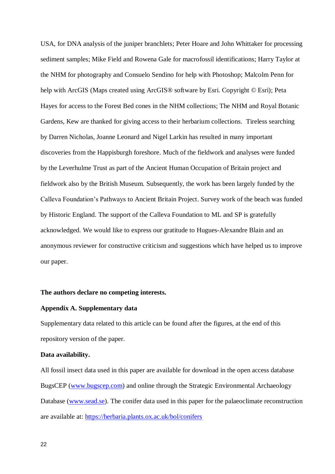USA, for DNA analysis of the juniper branchlets; Peter Hoare and John Whittaker for processing sediment samples; Mike Field and Rowena Gale for macrofossil identifications; Harry Taylor at the NHM for photography and Consuelo Sendino for help with Photoshop; Malcolm Penn for help with ArcGIS (Maps created using ArcGIS® software by Esri. Copyright © Esri); Peta Hayes for access to the Forest Bed cones in the NHM collections; The NHM and Royal Botanic Gardens, Kew are thanked for giving access to their herbarium collections. Tireless searching by Darren Nicholas, Joanne Leonard and Nigel Larkin has resulted in many important discoveries from the Happisburgh foreshore. Much of the fieldwork and analyses were funded by the Leverhulme Trust as part of the Ancient Human Occupation of Britain project and fieldwork also by the British Museum. Subsequently, the work has been largely funded by the Calleva Foundation's Pathways to Ancient Britain Project. Survey work of the beach was funded by Historic England. The support of the Calleva Foundation to ML and SP is gratefully acknowledged. We would like to express our gratitude to Hugues-Alexandre Blain and an anonymous reviewer for constructive criticism and suggestions which have helped us to improve our paper.

# **The authors declare no competing interests.**

# **Appendix A. Supplementary data**

Supplementary data related to this article can be found after the figures, at the end of this repository version of the paper.

# **Data availability.**

All fossil insect data used in this paper are available for download in the open access database BugsCEP [\(www.bugscep.com\)](http://www.bugscep.com/) and online through the Strategic Environmental Archaeology Database [\(www.sead.se\)](http://www.sead.se/). The conifer data used in this paper for the palaeoclimate reconstruction are available at:<https://herbaria.plants.ox.ac.uk/bol/conifers>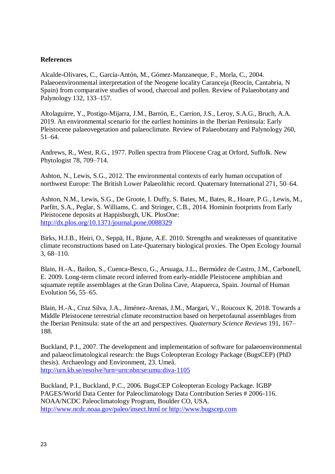# **References**

Alcalde-Olivares, C., García-Antón, M., Gómez-Manzaneque, F., Morla, C., 2004. Palaeoenvironmental interpretation of the Neogene locality Caranceja (Reocín, Cantabria, N Spain) from comparative studies of wood, charcoal and pollen. Review of Palaeobotany and Palynology 132, 133–157.

Altolaguirre, Y., Postigo-Mijarra, J.M., Barrón, E., Carrion, J.S., Leroy, S.A.G., Bruch, A.A. 2019. An environmental scenario for the earliest hominins in the Iberian Peninsula: Early Pleistocene palaeovegetation and palaeoclimate. Review of Palaeobotany and Palynology 260, 51–64.

Andrews, R., West, R.G., 1977. Pollen spectra from Pliocene Crag at Orford, Suffolk. New Phytologist 78, 709–714.

Ashton, N., Lewis, S.G., 2012. The environmental contexts of early human occupation of northwest Europe: The British Lower Palaeolithic record. Quaternary International 271, 50–64.

Ashton, N.M., Lewis, S.G., De Groote, I. Duffy, S. Bates, M., Bates, R., Hoare, P.G., Lewis, M., Parfitt, S.A., Peglar, S. Williams, C. and Stringer, C.B., 2014. Hominin footprints from Early Pleistocene deposits at Happisburgh, UK. PlosOne: <http://dx.plos.org/10.1371/journal.pone.0088329>

Birks, H.J.B., Heiri, O., Seppä, H., Bjune, A.E. 2010. Strengths and weaknesses of quantitative climate reconstructions based on Late-Quaternary biological proxies. The Open Ecology Journal 3, 68–110.

Blain, H.-A., Bailon, S., Cuenca-Besco, G., Arsuaga, J.L., Bermúdez de Castro, J.M., Carbonell, E. 2009. Long-term climate record inferred from early-middle Pleistocene amphibian and squamate reptile assemblages at the Gran Dolina Cave, Atapuerca, Spain. Journal of Human Evolution 56, 55–65.

Blain, H.-A., Cruz Silva, J.A., Jiménez-Arenas, J.M., Margari, V., Roucoux K. 2018. Towards a Middle Pleistocene terrestrial climate reconstruction based on herpetofaunal assemblages from the Iberian Peninsula: state of the art and perspectives. *Quaternary Science Reviews* 191, 167– 188.

Buckland, P.I., 2007. The development and implementation of software for palaeoenvironmental and palaeoclimatological research: the Bugs Coleopteran Ecology Package (BugsCEP) (PhD thesis). Archaeology and Environment, 23. Umeå. <http://urn.kb.se/resolve?urn=urn:nbn:se:umu:diva-1105>

Buckland, P.I., Buckland, P.C., 2006. BugsCEP Coleopteran Ecology Package. IGBP PAGES/World Data Center for Paleoclimatology Data Contribution Series # 2006-116. NOAA/NCDC Paleoclimatology Program, Boulder CO, USA. [http://www.ncdc.noaa.gov/paleo/insect.html or http://www.bugscep.com](http://www.ncdc.noaa.gov/paleo/insect.html%20or%20http:/www.bugscep.com)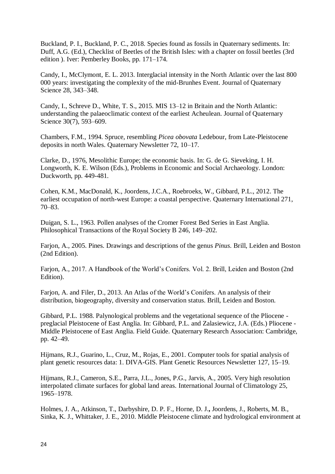Buckland, P. I., Buckland, P. C., 2018. Species found as fossils in Quaternary sediments. In: Duff, A.G. (Ed.), Checklist of Beetles of the British Isles: with a chapter on fossil beetles (3rd edition ). Iver: Pemberley Books, pp. 171–174.

Candy, I., McClymont, E. L. 2013. Interglacial intensity in the North Atlantic over the last 800 000 years: investigating the complexity of the mid-Brunhes Event. Journal of Quaternary Science 28, 343–348.

Candy, I., Schreve D., White, T. S., 2015. MIS 13–12 in Britain and the North Atlantic: understanding the palaeoclimatic context of the earliest Acheulean. Journal of Quaternary Science 30(7), 593–609.

Chambers, F.M., 1994. Spruce, resembling *Picea obovata* Ledebour, from Late-Pleistocene deposits in north Wales. Quaternary Newsletter 72, 10–17.

Clarke, D., 1976, Mesolithic Europe; the economic basis. In: G. de G. Sieveking, I. H. Longworth, K. E. Wilson (Eds.), Problems in Economic and Social Archaeology. London: Duckworth, pp. 449-481.

Cohen, K.M., MacDonald, K., Joordens, J.C.A., Roebroeks, W., Gibbard, P.L., 2012. The earliest occupation of north-west Europe: a coastal perspective. Quaternary International 271, 70–83.

Duigan, S. L., 1963. Pollen analyses of the Cromer Forest Bed Series in East Anglia. Philosophical Transactions of the Royal Society B 246, 149–202[.](http://dx.doi.org/10.1098/rstb.1963.0004)

Farjon, A., 2005. Pines. Drawings and descriptions of the genus *Pinus*. Brill, Leiden and Boston (2nd Edition).

Farjon, A., 2017. A Handbook of the World's Conifers. Vol. 2. Brill, Leiden and Boston (2nd Edition).

Farjon, A. and Filer, D., 2013. An Atlas of the World's Conifers. An analysis of their distribution, biogeography, diversity and conservation status. Brill, Leiden and Boston.

Gibbard, P.L. 1988. Palynological problems and the vegetational sequence of the Pliocene preglacial Pleistocene of East Anglia. In: Gibbard, P.L. and Zalasiewicz, J.A. (Eds.) Pliocene - Middle Pleistocene of East Anglia. Field Guide. Quaternary Research Association: Cambridge, pp. 42–49.

Hijmans, R.J., Guarino, L., Cruz, M., Rojas, E., 2001. Computer tools for spatial analysis of plant genetic resources data: 1. DIVA-GIS. Plant Genetic Resources Newsletter 127, 15–19.

Hijmans, R.J., Cameron, S.E., Parra, J.L., Jones, P.G., Jarvis, A., 2005. Very high resolution interpolated climate surfaces for global land areas. International Journal of Climatology 25, 1965–1978.

Holmes, J. A., Atkinson, T., Darbyshire, D. P. F., Horne, D. J.**,** Joordens, J., Roberts, M. B., Sinka, K. J., Whittaker, J. E., 2010. Middle Pleistocene climate and hydrological environment at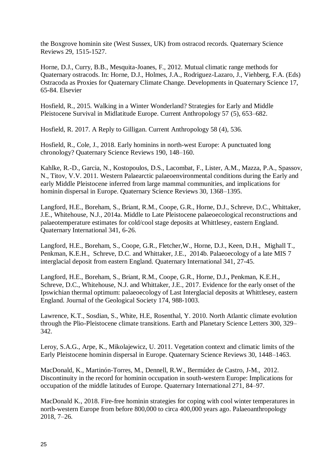the Boxgrove hominin site (West Sussex, UK) from ostracod records. Quaternary Science Reviews 29, 1515-1527.

Horne, D.J., Curry, B.B., Mesquita-Joanes, F., 2012. Mutual climatic range methods for Quaternary ostracods. In: Horne, D.J., Holmes, J.A., Rodriguez-Lazaro, J., Viehberg, F.A. (Eds) Ostracoda as Proxies for Quaternary Climate Change. Developments in Quaternary Science 17, 65-84. Elsevier

Hosfield, R., 2015. Walking in a Winter Wonderland? Strategies for Early and Middle Pleistocene Survival in Midlatitude Europe. Current Anthropology 57 (5), 653–682.

Hosfield, R. 2017. A Reply to Gilligan. Current Anthropology 58 (4), 536.

Hosfield, R., Cole, J., 2018. Early hominins in north-west Europe: A punctuated long chronology? Quaternary Science Reviews 190, 148–160.

Kahlke, R.-D., Garcia, N., Kostopoulos, D.S., Lacombat, F., Lister, A.M., Mazza, P.A., Spassov, N., Titov, V.V. 2011. Western Palaearctic palaeoenvironmental conditions during the Early and early Middle Pleistocene inferred from large mammal communities, and implications for hominin dispersal in Europe. Quaternary Science Reviews 30, 1368–1395.

Langford, H.E., Boreham, S., Briant, R.M., Coope, G.R., Horne, D.J., Schreve, D.C., Whittaker, J.E., Whitehouse, N.J., 2014a. Middle to Late Pleistocene palaeoecological reconstructions and palaeotemperature estimates for cold/cool stage deposits at Whittlesey, eastern England. Quaternary International 341, 6-26.

Langford, H.E., Boreham, S., Coope, G.R., Fletcher,W., Horne, D.J., Keen, D.H., Mighall T., Penkman, K.E.H., Schreve, D.C. and Whittaker, J.E., 2014b. Palaeoecology of a late MIS 7 interglacial deposit from eastern England. Quaternary International 341, 27-45.

Langford, H.E., Boreham, S., Briant, R.M., Coope, G.R., Horne, D.J.**,** Penkman, K.E.H., Schreve, D.C., Whitehouse, N.J. and Whittaker, J.E., 2017. Evidence for the early onset of the Ipswichian thermal optimum: palaeoecology of Last Interglacial deposits at Whittlesey, eastern England. Journal of the Geological Society 174, 988-1003.

Lawrence, K.T., Sosdian, S., White, H.E, Rosenthal, Y. 2010. North Atlantic climate evolution through the Plio-Pleistocene climate transitions. Earth and Planetary Science Letters 300, 329– 342.

Leroy, S.A.G., Arpe, K., Mikolajewicz, U. 2011. Vegetation context and climatic limits of the Early Pleistocene hominin dispersal in Europe. Quaternary Science Reviews 30, 1448–1463.

MacDonald, K., Martinón-Torres, M., Dennell, R.W., Bermúdez de Castro, J-M., 2012. Discontinuity in the record for hominin occupation in south-western Europe: Implications for occupation of the middle latitudes of Europe. Quaternary International 271, 84–97.

MacDonald K., 2018. Fire-free hominin strategies for coping with cool winter temperatures in north-western Europe from before 800,000 to circa 400,000 years ago. Palaeoanthropology 2018, 7–26.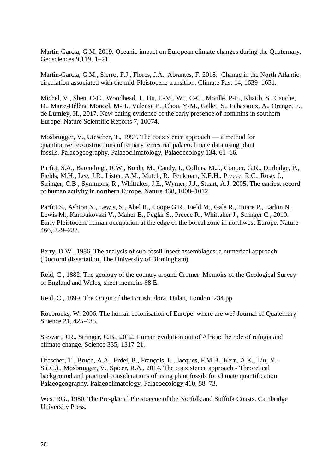Martin-Garcia, G.M. 2019. Oceanic impact on European climate changes during the Quaternary. Geosciences 9,119, 1–21.

Martin-Garcia, G.M., Sierro, F.J., Flores, J.A., Abrantes, F. 2018. Change in the North Atlantic circulation associated with the mid-Pleistocene transition. Climate Past 14, 1639–1651.

Michel, V., Shen, C-C., Woodhead, J., Hu, H-M., Wu, C-C., Moullé. P-E., Khatib, S., Cauche, D., Marie-Hélène Moncel, M-H., Valensi, P., Chou, Y-M., Gallet, S., Echassoux, A., Orange, F., de Lumley, H., 2017. New dating evidence of the early presence of hominins in southern Europe. Nature Scientific Reports 7, 10074.

Mosbrugger, V., Utescher, T., 1997. The coexistence approach — a method for quantitative reconstructions of tertiary terrestrial palaeoclimate data using plant fossils. Palaeogeography, Palaeoclimatology, Palaeoecology 134, 61–66.

Parfitt, S.A., Barendregt, R.W., Breda, M., Candy, I., Collins, M.J., Cooper, G.R., Durbidge, P., Fields, M.H., Lee, J.R., Lister, A.M., Mutch, R., Penkman, K.E.H., Preece, R.C., Rose, J., Stringer, C.B., Symmons, R., Whittaker, J.E., Wymer, J.J., Stuart, A.J. 2005. The earliest record of human activity in northern Europe. Nature 438, 1008–1012.

Parfitt S., Ashton N., Lewis, S., Abel R., Coope G.R., Field M., Gale R., Hoare P., Larkin N., Lewis M., Karloukovski V., Maher B., Peglar S., Preece R., Whittaker J., Stringer C., 2010. Early Pleistocene human occupation at the edge of the boreal zone in northwest Europe. Nature 466, 229–233.

Perry, D.W., 1986. The analysis of sub-fossil insect assemblages: a numerical approach (Doctoral dissertation, The University of Birmingham).

Reid, C., 1882. The geology of the country around Cromer. Memoirs of the Geological Survey of England and Wales, sheet memoirs 68 E.

Reid, C., 1899. The Origin of the British Flora. Dulau, London. 234 pp.

Roebroeks, W. 2006. The human colonisation of Europe: where are we? Journal of Quaternary Science 21, 425-435.

Stewart, J.R., Stringer, C.B., 2012. Human evolution out of Africa: the role of refugia and climate change. Science 335, 1317-21.

Utescher, T., Bruch, A.A., Erdei, B., François, L., Jacques, F.M.B., Kern, A.K., Liu, Y.- S.(.C.)., Mosbrugger, V., Spicer, R.A., 2014. The coexistence approach - Theoretical background and practical considerations of using plant fossils for climate quantification. Palaeogeography, Palaeoclimatology, Palaeoecology 410, 58–73.

West RG., 1980. The Pre-glacial Pleistocene of the Norfolk and Suffolk Coasts. Cambridge University Press.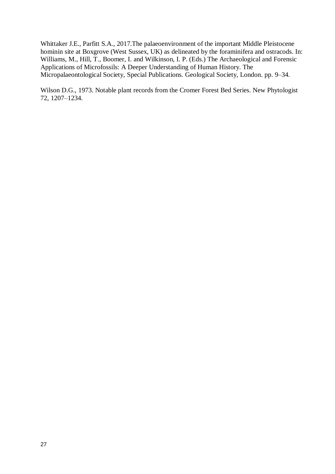Whittaker J.E., Parfitt S.A., 2017.The palaeoenvironment of the important Middle Pleistocene hominin site at Boxgrove (West Sussex, UK) as delineated by the foraminifera and ostracods. In: Williams, M., Hill, T., Boomer, I. and Wilkinson, I. P. (Eds.) The Archaeological and Forensic Applications of Microfossils: A Deeper Understanding of Human History. The Micropalaeontological Society, Special Publications. Geological Society, London. pp. 9–34.

Wilson D.G., 1973. Notable plant records from the Cromer Forest Bed Series. New Phytologist 72, 1207–1234.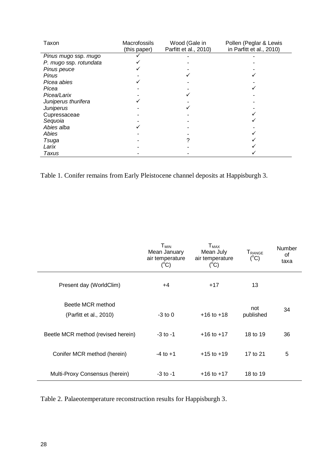| Taxon                  | Macrofossils<br>(this paper) | Wood (Gale in<br>Parfitt et al., 2010) | Pollen (Peglar & Lewis<br>in Parfitt et al., 2010) |
|------------------------|------------------------------|----------------------------------------|----------------------------------------------------|
| Pinus mugo ssp. mugo   |                              |                                        |                                                    |
| P. mugo ssp. rotundata |                              |                                        |                                                    |
| Pinus peuce            |                              |                                        |                                                    |
| <b>Pinus</b>           |                              |                                        |                                                    |
| Picea abies            |                              |                                        |                                                    |
| Picea                  |                              |                                        |                                                    |
| Picea/Larix            |                              |                                        |                                                    |
| Juniperus thurifera    |                              |                                        |                                                    |
| Juniperus              |                              |                                        |                                                    |
| Cupressaceae           |                              |                                        |                                                    |
| Sequoia                |                              |                                        |                                                    |
| Abies alba             |                              |                                        |                                                    |
| <b>Abies</b>           |                              |                                        |                                                    |
| Tsuga                  |                              |                                        |                                                    |
| Larix                  |                              |                                        |                                                    |
| Taxus                  |                              |                                        |                                                    |

Table 1. Conifer remains from Early Pleistocene channel deposits at Happisburgh 3.

|                                             | $\mathsf{T}_{\mathsf{MIN}}$<br>Mean January<br>air temperature<br>$(^{\circ}C)$ | $T_{MAX}$<br>Mean July<br>air temperature<br>$(^{\circ}C)$ | TRANGE<br>$(^{\circ}C)$ | Number<br>of<br>taxa |
|---------------------------------------------|---------------------------------------------------------------------------------|------------------------------------------------------------|-------------------------|----------------------|
| Present day (WorldClim)                     | +4                                                                              | $+17$                                                      | 13                      |                      |
| Beetle MCR method<br>(Parfitt et al., 2010) | $-3$ to 0                                                                       | $+16$ to $+18$                                             | not<br>published        | 34                   |
| Beetle MCR method (revised herein)          | $-3$ to $-1$                                                                    | $+16$ to $+17$                                             | 18 to 19                | 36                   |
| Conifer MCR method (herein)                 | $-4$ to $+1$                                                                    | $+15$ to $+19$                                             | 17 to 21                | 5                    |
| Multi-Proxy Consensus (herein)              | $-3$ to $-1$                                                                    | $+16$ to $+17$                                             | 18 to 19                |                      |

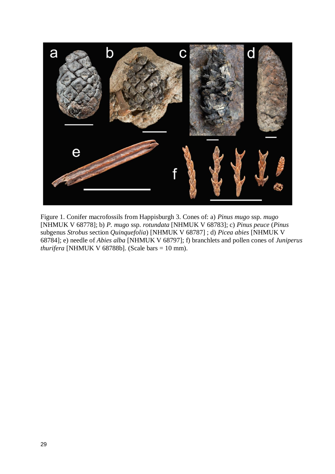

Figure 1. Conifer macrofossils from Happisburgh 3. Cones of: a) *Pinus mugo* ssp. *mugo* [NHMUK V 68778]; b) *P. mugo* ssp. *rotundata* [NHMUK V 68783]; c) *Pinus peuce* (*Pinus* subgenus *Strobus* section *Quinquefolia*) [NHMUK V 68787] ; d) *Picea abies* [NHMUK V 68784]; e) needle of *Abies alba* [NHMUK V 68797]; f) branchlets and pollen cones of *Juniperus thurifera* [NHMUK V 68788b]. (Scale bars = 10 mm).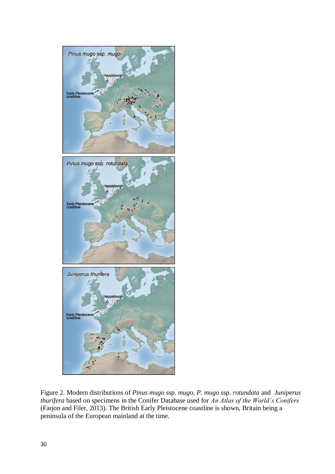

Figure 2. Modern distributions of *Pinus mugo* ssp. *mugo*, *P. mugo* ssp. *rotundata* and *Juniperus thurifera* based on specimens in the Conifer Database used for *An Atlas of the World's Conifers* (Farjon and Filer, 2013). The British Early Pleistocene coastline is shown, Britain being a peninsula of the European mainland at the time.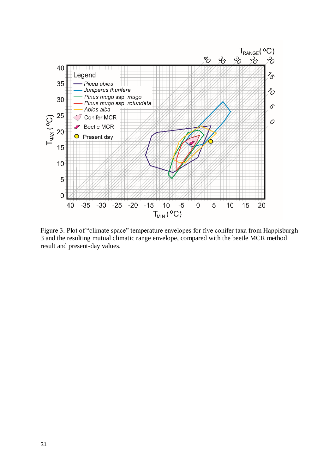

Figure 3. Plot of "climate space" temperature envelopes for five conifer taxa from Happisburgh 3 and the resulting mutual climatic range envelope, compared with the beetle MCR method result and present-day values.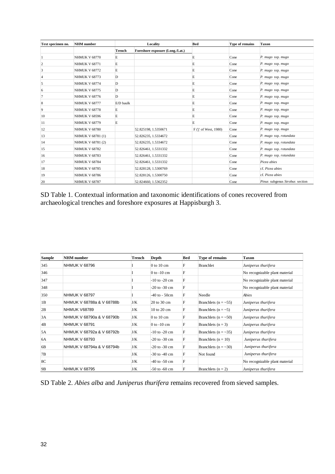| Text specimen no. | <b>NHM</b> number    |           | Locality                        | <b>Bed</b>            | Type of remains | <b>Taxon</b>                   |
|-------------------|----------------------|-----------|---------------------------------|-----------------------|-----------------|--------------------------------|
|                   |                      | Trench    | Foreshore exposure (Long./Lat.) |                       |                 |                                |
|                   | <b>NHMUK V 68770</b> | E         |                                 | E                     | Cone            | P. mugo ssp. mugo              |
| $\overline{2}$    | <b>NHMUK V 68771</b> | E         |                                 | E                     | Cone            | P. mugo ssp. mugo              |
| 3                 | <b>NHMUK V 68772</b> | E         |                                 | E                     | Cone            | P. mugo ssp. mugo              |
| $\overline{4}$    | <b>NHMUK V 68773</b> | D         |                                 | E                     | Cone            | P. mugo ssp. mugo              |
| 5                 | <b>NHMUK V 68774</b> | D         |                                 | E                     | Cone            | P. mugo ssp. mugo              |
| 6                 | <b>NHMUK V 68775</b> | D         |                                 | E                     | Cone            | P. mugo ssp. mugo              |
| 7                 | <b>NHMUK V 68776</b> | D         |                                 | E                     | Cone            | P. mugo ssp. mugo              |
| 8                 | <b>NHMUK V 68777</b> | E/D baulk |                                 | E                     | Cone            | P. mugo ssp. mugo              |
| 9                 | <b>NHMUK V 68778</b> | E         |                                 | E                     | Cone            | P. mugo ssp. mugo              |
| 10                | <b>NHMUK V 68596</b> | E         |                                 | Е                     | Cone            | P. mugo ssp. mugo              |
| 11                | <b>NHMUK V 68779</b> | E         |                                 | E                     | Cone            | P. mugo ssp. mugo              |
| 12                | <b>NHMUK V 68780</b> |           | 52.825198, 1.5350671            | F ('j' of West, 1980) | Cone            | P. mugo ssp. mugo              |
| 13                | NHMUK V 68781 (1)    |           | 52.826235, 1.5334672            |                       | Cone            | P. mugo ssp. rotundata         |
| 14                | NHMUK V 68781 (2)    |           | 52.826235, 1.5334672            |                       | Cone            | P. mugo ssp. rotundata         |
| 15                | <b>NHMUK V 68782</b> |           | 52.826461, 1.5331332            |                       | Cone            | P. mugo ssp. rotundata         |
| 16                | <b>NHMUK V 68783</b> |           | 52.826461, 1.5331332            |                       | Cone            | P. mugo ssp. rotundata         |
| 17                | <b>NHMUK V 68784</b> |           | 52.826461, 1.5331332            |                       | Cone            | Picea abies                    |
| 18                | <b>NHMUK V 68785</b> |           | 52.828128, 1.5300769            |                       | Cone            | cf. Picea abies                |
| 19                | <b>NHMUK V 68786</b> |           | 52.828126, 1.5300750            |                       | Cone            | cf. Picea abies                |
| 20                | <b>NHMUK V 68787</b> |           | 52.824660, 1.5362352            |                       | Cone            | Pinus subgenus Strobus section |

SD Table 1. Contextual information and taxonomic identifications of cones recovered from archaeological trenches and foreshore exposures at Happisburgh 3.

| <b>Sample</b>  | <b>NHM</b> number         | Trench | Depth                          | <b>Bed</b> | Type of remains          | <b>Taxon</b>                   |
|----------------|---------------------------|--------|--------------------------------|------------|--------------------------|--------------------------------|
| 345            | <b>NHMUK V 68796</b>      |        | 0 to 10 cm                     | F          | Branchlet                | Juniperus thurifera            |
| 346            |                           |        | $0$ to $-10$ cm                | F          |                          | No recognizable plant material |
| 347            |                           |        | $-10$ to $-20$ cm              | F          |                          | No recognizable plant material |
| 348            |                           |        | $-20$ to $-30$ cm              | F          |                          | No recognizable plant material |
| 350            | <b>NHMUK V 68797</b>      |        | $-40$ to $-50$ cm              | F          | Needle                   | Abies                          |
| 1B             | NHMUK V 68788a & V 68788b | J/K    | 20 to 30 cm                    | F          | Branchlets ( $n = -55$ ) | Juniperus thurifera            |
| 2B             | <b>NHMUK V68789</b>       | J/K    | $10 \text{ to } 20 \text{ cm}$ | F          | Branchlets ( $n = -5$ )  | Juniperus thurifera            |
| 3A             | NHMUK V 68790a & V 68790b | J/K    | 0 to 10 cm                     | F          | Branchlets ( $n = -50$ ) | Juniperus thurifera            |
| 4B             | <b>NHMUK V 68791</b>      | J/K    | $0$ to $-10$ cm                | F          | Branchlets $(n = 3)$     | Juniperus thurifera            |
| 5A             | NHMUK V 68792a & V 68792b | J/K    | $-10$ to $-20$ cm              | F          | Branchlets ( $n = -35$ ) | Juniperus thurifera            |
| 6A             | <b>NHMUK V 68793</b>      | J/K    | $-20$ to $-30$ cm              | F          | Branchlets $(n = 10)$    | Juniperus thurifera            |
| 6 <sub>B</sub> | NHMUK V 68794a & V 68794b | J/K    | $-20$ to $-30$ cm              | F          | Branchlets ( $n = -30$ ) | Juniperus thurifera            |
| 7В             |                           | J/K    | $-30$ to $-40$ cm              | F          | Not found                | Juniperus thurifera            |
| 8C             |                           | J/K    | $-40$ to $-50$ cm              | F          |                          | No recognizable plant material |
| 9B             | <b>NHMUK V 68795</b>      | J/K    | $-50$ to $-60$ cm              | F          | Branchlets $(n = 2)$     | Juniperus thurifera            |

SD Table 2. *Abies alba* and *Juniperus thurifera* remains recovered from sieved samples.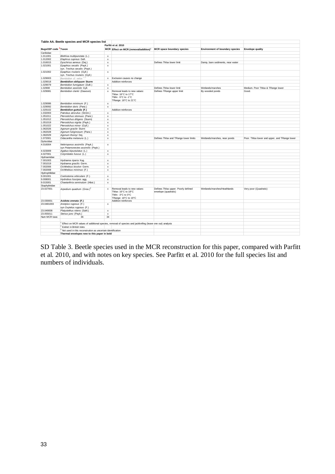|                           | Table AA. Beetle species and MCR species list                       |                           |                                                                                                         |                                                            |                                        |                                              |
|---------------------------|---------------------------------------------------------------------|---------------------------|---------------------------------------------------------------------------------------------------------|------------------------------------------------------------|----------------------------------------|----------------------------------------------|
|                           |                                                                     |                           | Parfitt et al. 2010                                                                                     |                                                            |                                        |                                              |
| <b>BugsCEP</b> code Taxon |                                                                     | MCR                       | Effect on MCR (removal/addition) <sup>1</sup>                                                           | MCR space boundary species                                 | <b>Environment of boundary species</b> | <b>Envelope quality</b>                      |
| Caribidae                 |                                                                     |                           |                                                                                                         |                                                            |                                        |                                              |
| 1.011001                  | Blethisa multipunctata (L.)                                         | $\mathbf x$               |                                                                                                         |                                                            |                                        |                                              |
| 1.012002                  | Elaphrus cupreus Duft.                                              | $\mathsf x$               |                                                                                                         |                                                            |                                        |                                              |
| 1.016015                  | Dyschirius aeneus (Dej.)                                            | $\boldsymbol{\mathsf{x}}$ |                                                                                                         | Defines TMax lower limit                                   | Damp, bare sediments, near water       |                                              |
| 1.021001                  | Epaphius secalis (Payk.)<br>syn. Trechus secalis (Payk.)            | $\boldsymbol{\mathsf{x}}$ |                                                                                                         |                                                            |                                        |                                              |
| 1.021002                  | Epaphius rivularis (Gyll.)<br>syn. Trechus rivularis (Gyll.)        | $\boldsymbol{\mathsf{x}}$ |                                                                                                         |                                                            |                                        |                                              |
| 1.029003                  | Bembidion cf. velox <sup>2</sup>                                    | $\mathbf x$               | Exclusion causes no change                                                                              |                                                            |                                        |                                              |
| 1.029018                  | <b>Bembidion obliquum Sturm</b>                                     |                           | Addition reinforces                                                                                     |                                                            |                                        |                                              |
| 1.029079                  | Bembidion fumigatum (Duft.)                                         | $\mathsf x$               |                                                                                                         |                                                            |                                        |                                              |
| 1.02908                   | Bembidion assimile Gyll.                                            | $\mathsf{x}$              |                                                                                                         | Defines TMax lower limit                                   | Wetlands/marshes                       | Medium. Poor TMax & TRange lower             |
| 1.029081                  | Bembidion clarkii (Dawson)                                          | $\mathbf{x}$              | Removal leads to new values:<br>TMax: 16°C to 17°C<br>TMin: -5°C to -1°C<br>TRange: 18°C to 21°C        | Defines TRange upper limit                                 | By wooded ponds                        | Good.                                        |
| 1.029086                  | Bembidion minimum (F.)                                              | $\mathbf x$               |                                                                                                         |                                                            |                                        |                                              |
| 1.029092                  | Bembidion doris (Panz.)                                             | $\mathsf x$               |                                                                                                         |                                                            |                                        |                                              |
| 1.029102                  | <b>Bembidion guttula (F.)</b>                                       |                           | Addition reinforces                                                                                     |                                                            |                                        |                                              |
| 1.032003                  | Patrobus atrorufus (Ström.)                                         | $\mathsf x$               |                                                                                                         |                                                            |                                        |                                              |
| 1.051011                  | Pterostichus strenuus (Panz.)                                       | $\boldsymbol{\mathsf{x}}$ |                                                                                                         |                                                            |                                        |                                              |
| 1.051012                  | Pterostichus diligens (Sturm)                                       | $\mathsf x$               |                                                                                                         |                                                            |                                        |                                              |
| 1.051019                  | Pterostichus nigrita (Payk.)                                        | $\mathsf{x}$              |                                                                                                         |                                                            |                                        |                                              |
| 1.051022                  | Pterostichus minor (Gyll.)                                          | $\mathsf{x}$              |                                                                                                         |                                                            |                                        |                                              |
| 1.062026                  | Agonum gracile Sturm                                                | $\mathbf{x}$              |                                                                                                         |                                                            |                                        |                                              |
| 1.062028                  | Agonum fuliginosum (Panz.)                                          | $\boldsymbol{\mathsf{x}}$ |                                                                                                         |                                                            |                                        |                                              |
| 1.062029                  | Agonum thoreyi Dej.                                                 | $\mathsf{x}$              |                                                                                                         |                                                            |                                        |                                              |
| 1.072001                  | Odacantha melanura (L.)                                             | $\mathsf{x}$              |                                                                                                         | Defines TMax and TRange lower limits                       | Wetlands/marshes, near ponds           | Poor. TMax lower and upper, and TRange lower |
| Dytiscidae                |                                                                     |                           |                                                                                                         |                                                            |                                        |                                              |
| 4.016004                  | Nebrioporus assimilis (Payk.)<br>syn Potamonectes assimilis (Payk.) | х                         |                                                                                                         |                                                            |                                        |                                              |
| 4.023009                  | Agabus bipustulatus (L.)                                            | $\mathsf x$               |                                                                                                         |                                                            |                                        |                                              |
| 4.027001                  | Colymbetes fuscus (L.)                                              | $\mathbf x$               |                                                                                                         |                                                            |                                        |                                              |
| Hydraenidae               |                                                                     |                           |                                                                                                         |                                                            |                                        |                                              |
| 7.001003                  | Hydraena riparia Kug.                                               | х                         |                                                                                                         |                                                            |                                        |                                              |
| 7.001019                  | Hydraena gracilis Germ.                                             | $\boldsymbol{\mathsf{x}}$ |                                                                                                         |                                                            |                                        |                                              |
| 7.002006                  | Ochthebius bicolon Germ.                                            | $\mathsf{x}$              |                                                                                                         |                                                            |                                        |                                              |
| 7.002008                  | Ochthebius minimus (F.)                                             | $\boldsymbol{\mathsf{x}}$ |                                                                                                         |                                                            |                                        |                                              |
| Hydrophilidae             |                                                                     |                           |                                                                                                         |                                                            |                                        |                                              |
| 9.001001                  | Coelostoma orbiculare (F.)                                          | $\mathsf x$               |                                                                                                         |                                                            |                                        |                                              |
| 9.008001                  | Hydrobius fuscipes agg.                                             | $\boldsymbol{\mathsf{x}}$ |                                                                                                         |                                                            |                                        |                                              |
| 9.015001                  | Chaetarthria seminulum (Hbst.)                                      | $\mathsf{x}$              |                                                                                                         |                                                            |                                        |                                              |
| Staphylinidae             |                                                                     |                           |                                                                                                         |                                                            |                                        |                                              |
| 23.027001                 | Arpedium quadrum (Grav.) <sup>2</sup>                               | $\mathsf x$               | Removal leads to new values:<br>TMax: 16°C to 18°C<br>TMin: -3°C to 0°C<br>TRange: 18°C to 19°C         | Defines TMax upper. Poorly defined<br>envelope (quadratic) | Wetlands/marshes/Heathlands            | Very poor (Quadratic)                        |
| 23.030001                 | Acidota crenata (F.)                                                |                           | Addition reinforces                                                                                     |                                                            |                                        |                                              |
| 23.0481003                | Anotylus rugosus (F.)<br>syn Oxytelus rugosus (F.)                  | $\mathsf{x}$              |                                                                                                         |                                                            |                                        |                                              |
| 23.049008                 | Platystethus nitens (Sahl.)                                         | $\mathsf x$               |                                                                                                         |                                                            |                                        |                                              |
| 23.055011                 | Stenus juno (Payk.)                                                 | $\mathbf x$               |                                                                                                         |                                                            |                                        |                                              |
| Num MCR taxa:             | 36                                                                  | 34                        |                                                                                                         |                                                            |                                        |                                              |
|                           |                                                                     |                           |                                                                                                         |                                                            |                                        |                                              |
|                           |                                                                     |                           | Effect on MCR values of additional species, removal of species and jackknifing (leave one out) analysis |                                                            |                                        |                                              |
|                           | $2$ Extinct in British Isles                                        |                           |                                                                                                         |                                                            |                                        |                                              |
|                           | $3$ Not used in this reconstrution as uncertain identification      |                           |                                                                                                         |                                                            |                                        |                                              |
|                           | Thermal envelopes new to this paper in bold                         |                           |                                                                                                         |                                                            |                                        |                                              |

SD Table 3. Beetle species used in the MCR reconstruction for this paper, compared with Parfitt et al. 2010, and with notes on key species. See Parfitt et al. 2010 for the full species list and numbers of individuals.